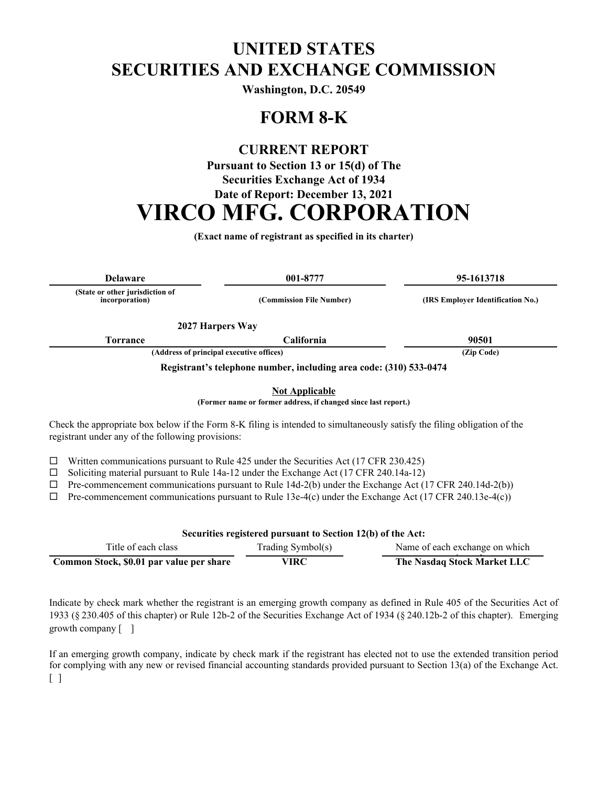# **UNITED STATES SECURITIES AND EXCHANGE COMMISSION**

**Washington, D.C. 20549**

## **FORM 8-K**

**CURRENT REPORT**

**Pursuant to Section 13 or 15(d) of The Securities Exchange Act of 1934 Date of Report: December 13, 2021 VIRCO MFG. CORPORATION**

**(Exact name of registrant as specified in its charter)**

**Delaware 001-8777 95-1613718**

**(State or other jurisdiction of** 

**incorporation) (Commission File Number) (IRS Employer Identification No.)**

**2027 Harpers Way**

**Torrance California 90501**

**(Address of principal executive offices) (Zip Code)**

**Registrant's telephone number, including area code: (310) 533-0474**

**Not Applicable**

**(Former name or former address, if changed since last report.)**

Check the appropriate box below if the Form 8-K filing is intended to simultaneously satisfy the filing obligation of the registrant under any of the following provisions:

 $\Box$  Written communications pursuant to Rule 425 under the Securities Act (17 CFR 230.425)

 $\Box$  Soliciting material pursuant to Rule 14a-12 under the Exchange Act (17 CFR 240.14a-12)

 $\Box$  Pre-commencement communications pursuant to Rule 14d-2(b) under the Exchange Act (17 CFR 240.14d-2(b))

 $\Box$  Pre-commencement communications pursuant to Rule 13e-4(c) under the Exchange Act (17 CFR 240.13e-4(c))

| Securities registered pursuant to Section 12(b) of the Act: |                   |                                |  |  |
|-------------------------------------------------------------|-------------------|--------------------------------|--|--|
| Title of each class                                         | Trading Symbol(s) | Name of each exchange on which |  |  |
| Common Stock, \$0.01 par value per share                    | VIRC              | The Nasdaq Stock Market LLC    |  |  |

Indicate by check mark whether the registrant is an emerging growth company as defined in Rule 405 of the Securities Act of 1933 (§ 230.405 of this chapter) or Rule 12b-2 of the Securities Exchange Act of 1934 (§ 240.12b-2 of this chapter). Emerging growth company [ ]

If an emerging growth company, indicate by check mark if the registrant has elected not to use the extended transition period for complying with any new or revised financial accounting standards provided pursuant to Section 13(a) of the Exchange Act.  $\Box$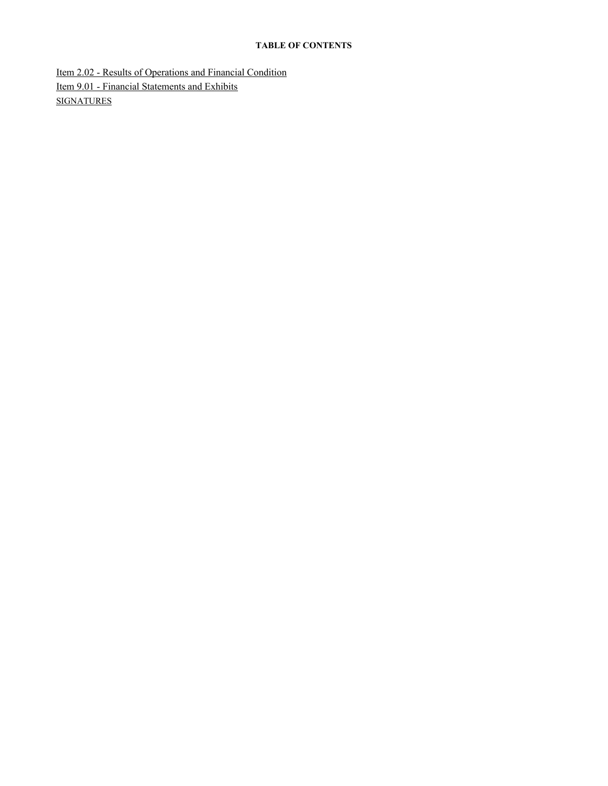#### **TABLE OF CONTENTS**

Item 2.02 - Results of Operations and Financial Condition Item 9.01 - Financial Statements and Exhibits SIGNATURES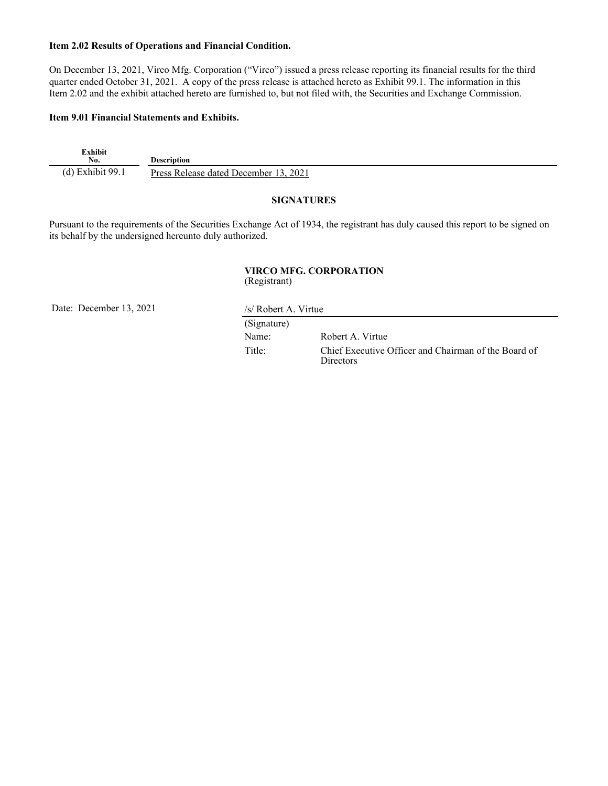#### **Item 2.02 Results of Operations and Financial Condition.**

On December 13, 2021, Virco Mfg. Corporation ("Virco") issued a press release reporting its financial results for the third quarter ended October 31, 2021. A copy of the press release is attached hereto as Exhibit 99.1. The information in this Item 2.02 and the exhibit attached hereto are furnished to, but not filed with, the Securities and Exchange Commission.

#### **Item 9.01 Financial Statements and Exhibits.**

| Exhibit<br>No.      | Description                                 |
|---------------------|---------------------------------------------|
| Exhibit 99.1<br>(d) | 202<br>13<br>Press Release dated December 1 |

#### **SIGNATURES**

Pursuant to the requirements of the Securities Exchange Act of 1934, the registrant has duly caused this report to be signed on its behalf by the undersigned hereunto duly authorized.

#### **VIRCO MFG. CORPORATION** (Registrant)

Date: December 13, 2021 /s/ Robert A. Virtue

| (Signature) |                                                                          |
|-------------|--------------------------------------------------------------------------|
| Name:       | Robert A. Virtue                                                         |
| Title:      | Chief Executive Officer and Chairman of the Board of<br><b>Directors</b> |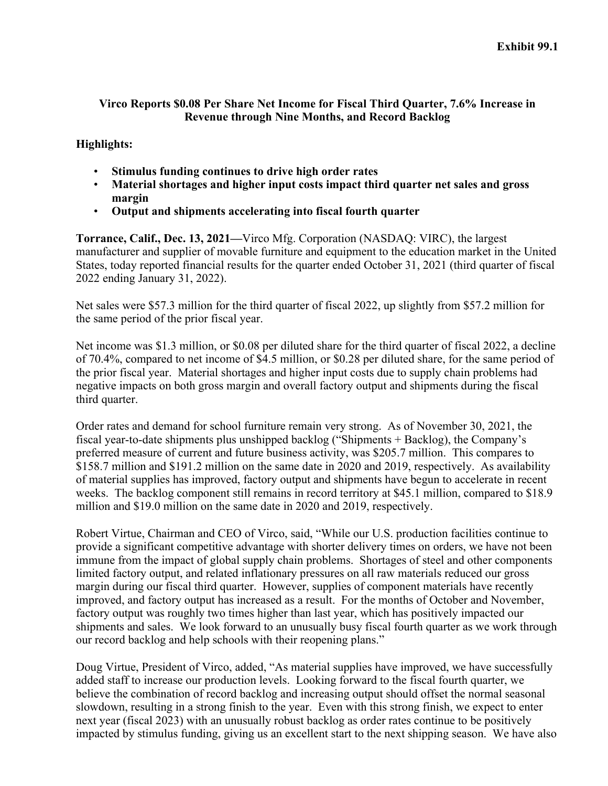#### **Virco Reports \$0.08 Per Share Net Income for Fiscal Third Quarter, 7.6% Increase in Revenue through Nine Months, and Record Backlog**

#### **Highlights:**

- **Stimulus funding continues to drive high order rates**
- **Material shortages and higher input costs impact third quarter net sales and gross margin**
- **Output and shipments accelerating into fiscal fourth quarter**

**Torrance, Calif., Dec. 13, 2021—**Virco Mfg. Corporation (NASDAQ: VIRC), the largest manufacturer and supplier of movable furniture and equipment to the education market in the United States, today reported financial results for the quarter ended October 31, 2021 (third quarter of fiscal 2022 ending January 31, 2022).

Net sales were \$57.3 million for the third quarter of fiscal 2022, up slightly from \$57.2 million for the same period of the prior fiscal year.

Net income was \$1.3 million, or \$0.08 per diluted share for the third quarter of fiscal 2022, a decline of 70.4%, compared to net income of \$4.5 million, or \$0.28 per diluted share, for the same period of the prior fiscal year. Material shortages and higher input costs due to supply chain problems had negative impacts on both gross margin and overall factory output and shipments during the fiscal third quarter.

Order rates and demand for school furniture remain very strong. As of November 30, 2021, the fiscal year-to-date shipments plus unshipped backlog ("Shipments + Backlog), the Company's preferred measure of current and future business activity, was \$205.7 million. This compares to \$158.7 million and \$191.2 million on the same date in 2020 and 2019, respectively. As availability of material supplies has improved, factory output and shipments have begun to accelerate in recent weeks. The backlog component still remains in record territory at \$45.1 million, compared to \$18.9 million and \$19.0 million on the same date in 2020 and 2019, respectively.

Robert Virtue, Chairman and CEO of Virco, said, "While our U.S. production facilities continue to provide a significant competitive advantage with shorter delivery times on orders, we have not been immune from the impact of global supply chain problems. Shortages of steel and other components limited factory output, and related inflationary pressures on all raw materials reduced our gross margin during our fiscal third quarter. However, supplies of component materials have recently improved, and factory output has increased as a result. For the months of October and November, factory output was roughly two times higher than last year, which has positively impacted our shipments and sales. We look forward to an unusually busy fiscal fourth quarter as we work through our record backlog and help schools with their reopening plans."

Doug Virtue, President of Virco, added, "As material supplies have improved, we have successfully added staff to increase our production levels. Looking forward to the fiscal fourth quarter, we believe the combination of record backlog and increasing output should offset the normal seasonal slowdown, resulting in a strong finish to the year. Even with this strong finish, we expect to enter next year (fiscal 2023) with an unusually robust backlog as order rates continue to be positively impacted by stimulus funding, giving us an excellent start to the next shipping season. We have also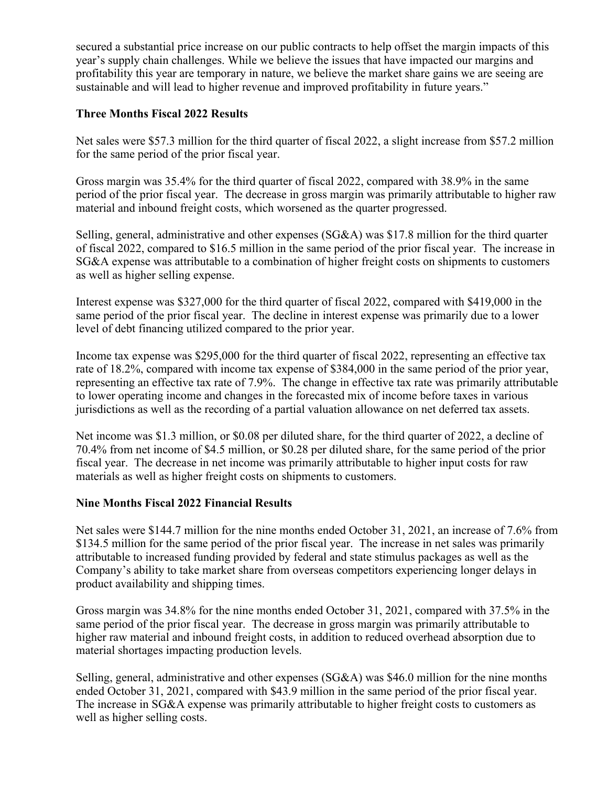secured a substantial price increase on our public contracts to help offset the margin impacts of this year's supply chain challenges. While we believe the issues that have impacted our margins and profitability this year are temporary in nature, we believe the market share gains we are seeing are sustainable and will lead to higher revenue and improved profitability in future years."

## **Three Months Fiscal 2022 Results**

Net sales were \$57.3 million for the third quarter of fiscal 2022, a slight increase from \$57.2 million for the same period of the prior fiscal year.

Gross margin was 35.4% for the third quarter of fiscal 2022, compared with 38.9% in the same period of the prior fiscal year. The decrease in gross margin was primarily attributable to higher raw material and inbound freight costs, which worsened as the quarter progressed.

Selling, general, administrative and other expenses (SG&A) was \$17.8 million for the third quarter of fiscal 2022, compared to \$16.5 million in the same period of the prior fiscal year. The increase in SG&A expense was attributable to a combination of higher freight costs on shipments to customers as well as higher selling expense.

Interest expense was \$327,000 for the third quarter of fiscal 2022, compared with \$419,000 in the same period of the prior fiscal year. The decline in interest expense was primarily due to a lower level of debt financing utilized compared to the prior year.

Income tax expense was \$295,000 for the third quarter of fiscal 2022, representing an effective tax rate of 18.2%, compared with income tax expense of \$384,000 in the same period of the prior year, representing an effective tax rate of 7.9%. The change in effective tax rate was primarily attributable to lower operating income and changes in the forecasted mix of income before taxes in various jurisdictions as well as the recording of a partial valuation allowance on net deferred tax assets.

Net income was \$1.3 million, or \$0.08 per diluted share, for the third quarter of 2022, a decline of 70.4% from net income of \$4.5 million, or \$0.28 per diluted share, for the same period of the prior fiscal year. The decrease in net income was primarily attributable to higher input costs for raw materials as well as higher freight costs on shipments to customers.

## **Nine Months Fiscal 2022 Financial Results**

Net sales were \$144.7 million for the nine months ended October 31, 2021, an increase of 7.6% from \$134.5 million for the same period of the prior fiscal year. The increase in net sales was primarily attributable to increased funding provided by federal and state stimulus packages as well as the Company's ability to take market share from overseas competitors experiencing longer delays in product availability and shipping times.

Gross margin was 34.8% for the nine months ended October 31, 2021, compared with 37.5% in the same period of the prior fiscal year. The decrease in gross margin was primarily attributable to higher raw material and inbound freight costs, in addition to reduced overhead absorption due to material shortages impacting production levels.

Selling, general, administrative and other expenses (SG&A) was \$46.0 million for the nine months ended October 31, 2021, compared with \$43.9 million in the same period of the prior fiscal year. The increase in SG&A expense was primarily attributable to higher freight costs to customers as well as higher selling costs.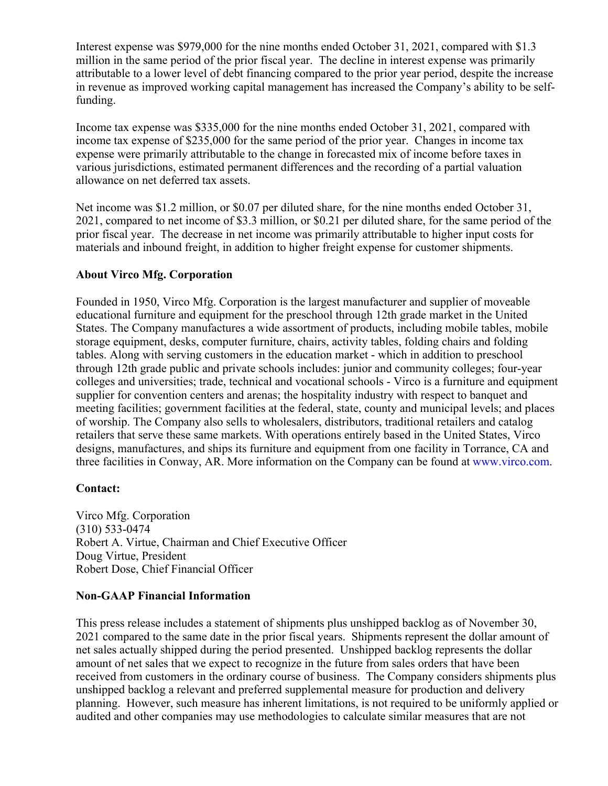Interest expense was \$979,000 for the nine months ended October 31, 2021, compared with \$1.3 million in the same period of the prior fiscal year. The decline in interest expense was primarily attributable to a lower level of debt financing compared to the prior year period, despite the increase in revenue as improved working capital management has increased the Company's ability to be selffunding.

Income tax expense was \$335,000 for the nine months ended October 31, 2021, compared with income tax expense of \$235,000 for the same period of the prior year. Changes in income tax expense were primarily attributable to the change in forecasted mix of income before taxes in various jurisdictions, estimated permanent differences and the recording of a partial valuation allowance on net deferred tax assets.

Net income was \$1.2 million, or \$0.07 per diluted share, for the nine months ended October 31, 2021, compared to net income of \$3.3 million, or \$0.21 per diluted share, for the same period of the prior fiscal year. The decrease in net income was primarily attributable to higher input costs for materials and inbound freight, in addition to higher freight expense for customer shipments.

#### **About Virco Mfg. Corporation**

Founded in 1950, Virco Mfg. Corporation is the largest manufacturer and supplier of moveable educational furniture and equipment for the preschool through 12th grade market in the United States. The Company manufactures a wide assortment of products, including mobile tables, mobile storage equipment, desks, computer furniture, chairs, activity tables, folding chairs and folding tables. Along with serving customers in the education market - which in addition to preschool through 12th grade public and private schools includes: junior and community colleges; four-year colleges and universities; trade, technical and vocational schools - Virco is a furniture and equipment supplier for convention centers and arenas; the hospitality industry with respect to banquet and meeting facilities; government facilities at the federal, state, county and municipal levels; and places of worship. The Company also sells to wholesalers, distributors, traditional retailers and catalog retailers that serve these same markets. With operations entirely based in the United States, Virco designs, manufactures, and ships its furniture and equipment from one facility in Torrance, CA and three facilities in Conway, AR. More information on the Company can be found at www.virco.com.

## **Contact:**

Virco Mfg. Corporation (310) 533-0474 Robert A. Virtue, Chairman and Chief Executive Officer Doug Virtue, President Robert Dose, Chief Financial Officer

#### **Non-GAAP Financial Information**

This press release includes a statement of shipments plus unshipped backlog as of November 30, 2021 compared to the same date in the prior fiscal years. Shipments represent the dollar amount of net sales actually shipped during the period presented. Unshipped backlog represents the dollar amount of net sales that we expect to recognize in the future from sales orders that have been received from customers in the ordinary course of business. The Company considers shipments plus unshipped backlog a relevant and preferred supplemental measure for production and delivery planning. However, such measure has inherent limitations, is not required to be uniformly applied or audited and other companies may use methodologies to calculate similar measures that are not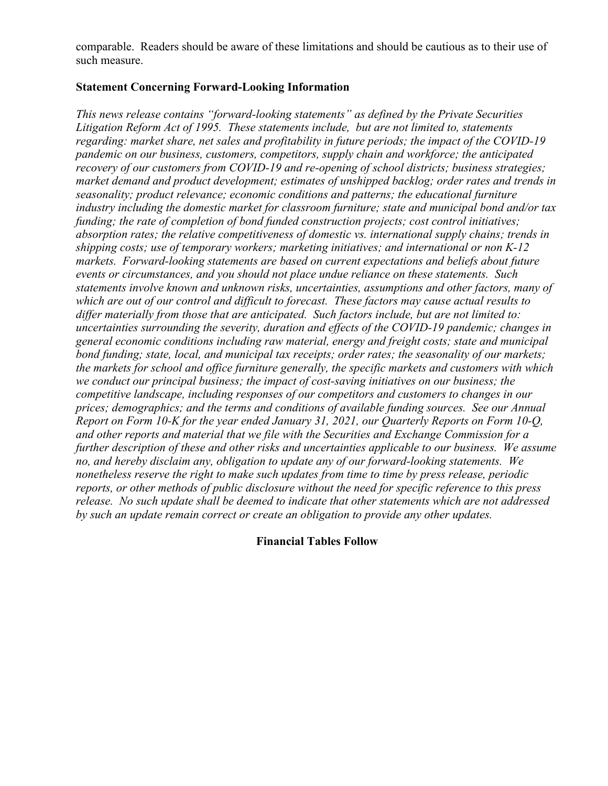comparable. Readers should be aware of these limitations and should be cautious as to their use of such measure.

#### **Statement Concerning Forward-Looking Information**

*This news release contains "forward-looking statements" as defined by the Private Securities Litigation Reform Act of 1995. These statements include, but are not limited to, statements regarding: market share, net sales and profitability in future periods; the impact of the COVID-19 pandemic on our business, customers, competitors, supply chain and workforce; the anticipated recovery of our customers from COVID-19 and re-opening of school districts; business strategies; market demand and product development; estimates of unshipped backlog; order rates and trends in seasonality; product relevance; economic conditions and patterns; the educational furniture industry including the domestic market for classroom furniture; state and municipal bond and/or tax funding; the rate of completion of bond funded construction projects; cost control initiatives; absorption rates; the relative competitiveness of domestic vs. international supply chains; trends in shipping costs; use of temporary workers; marketing initiatives; and international or non K-12 markets. Forward-looking statements are based on current expectations and beliefs about future events or circumstances, and you should not place undue reliance on these statements. Such statements involve known and unknown risks, uncertainties, assumptions and other factors, many of which are out of our control and difficult to forecast. These factors may cause actual results to differ materially from those that are anticipated. Such factors include, but are not limited to: uncertainties surrounding the severity, duration and effects of the COVID-19 pandemic; changes in general economic conditions including raw material, energy and freight costs; state and municipal bond funding; state, local, and municipal tax receipts; order rates; the seasonality of our markets; the markets for school and office furniture generally, the specific markets and customers with which we conduct our principal business; the impact of cost-saving initiatives on our business; the competitive landscape, including responses of our competitors and customers to changes in our prices; demographics; and the terms and conditions of available funding sources. See our Annual Report on Form 10-K for the year ended January 31, 2021, our Quarterly Reports on Form 10-Q, and other reports and material that we file with the Securities and Exchange Commission for a further description of these and other risks and uncertainties applicable to our business. We assume no, and hereby disclaim any, obligation to update any of our forward-looking statements. We nonetheless reserve the right to make such updates from time to time by press release, periodic reports, or other methods of public disclosure without the need for specific reference to this press release. No such update shall be deemed to indicate that other statements which are not addressed by such an update remain correct or create an obligation to provide any other updates.*

#### **Financial Tables Follow**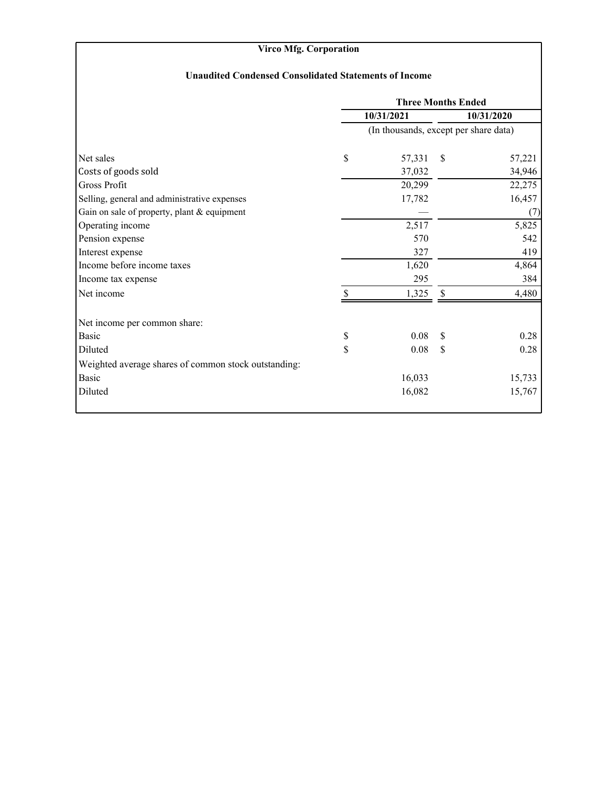#### **Virco Mfg. Corporation**

## **Unaudited Condensed Consolidated Statements of Income**

|                                                      | <b>Three Months Ended</b>             |        |            |        |
|------------------------------------------------------|---------------------------------------|--------|------------|--------|
|                                                      | 10/31/2021                            |        | 10/31/2020 |        |
|                                                      | (In thousands, except per share data) |        |            |        |
| Net sales                                            | \$                                    | 57,331 | -S         | 57,221 |
| Costs of goods sold                                  |                                       | 37,032 |            | 34,946 |
| <b>Gross Profit</b>                                  |                                       | 20,299 |            | 22,275 |
| Selling, general and administrative expenses         |                                       | 17,782 |            | 16,457 |
| Gain on sale of property, plant & equipment          |                                       |        |            | (7)    |
| Operating income                                     |                                       | 2,517  |            | 5,825  |
| Pension expense                                      |                                       | 570    |            | 542    |
| Interest expense                                     |                                       | 327    |            | 419    |
| Income before income taxes                           |                                       | 1,620  |            | 4,864  |
| Income tax expense                                   |                                       | 295    |            | 384    |
| Net income                                           |                                       | 1,325  |            | 4,480  |
| Net income per common share:                         |                                       |        |            |        |
| <b>Basic</b>                                         | \$                                    | 0.08   | \$         | 0.28   |
| Diluted                                              | \$                                    | 0.08   | \$         | 0.28   |
| Weighted average shares of common stock outstanding: |                                       |        |            |        |
| <b>Basic</b>                                         |                                       | 16,033 |            | 15,733 |
| Diluted                                              |                                       | 16,082 |            | 15,767 |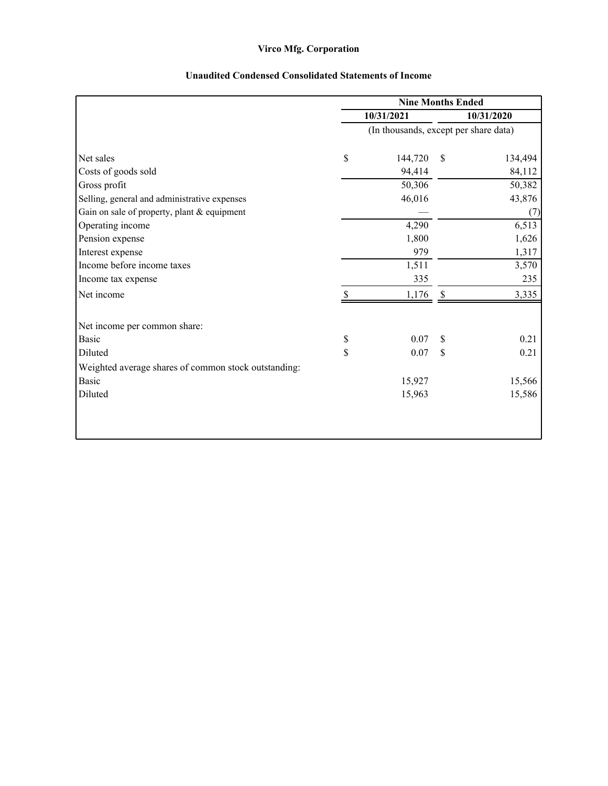## **Virco Mfg. Corporation**

|                                                      | <b>Nine Months Ended</b>              |         |            |         |
|------------------------------------------------------|---------------------------------------|---------|------------|---------|
|                                                      | 10/31/2021                            |         | 10/31/2020 |         |
|                                                      | (In thousands, except per share data) |         |            |         |
| Net sales                                            | \$                                    | 144,720 | \$         | 134,494 |
| Costs of goods sold                                  |                                       | 94,414  |            | 84,112  |
| Gross profit                                         |                                       | 50,306  |            | 50,382  |
| Selling, general and administrative expenses         |                                       | 46,016  |            | 43,876  |
| Gain on sale of property, plant & equipment          |                                       |         |            | (7)     |
| Operating income                                     |                                       | 4,290   |            | 6,513   |
| Pension expense                                      |                                       | 1,800   |            | 1,626   |
| Interest expense                                     |                                       | 979     |            | 1,317   |
| Income before income taxes                           |                                       | 1,511   |            | 3,570   |
| Income tax expense                                   |                                       | 335     |            | 235     |
| Net income                                           |                                       | 1,176   | \$         | 3,335   |
| Net income per common share:                         |                                       |         |            |         |
| Basic                                                | \$                                    | 0.07    | \$         | 0.21    |
| Diluted                                              | \$                                    | 0.07    | \$         | 0.21    |
| Weighted average shares of common stock outstanding: |                                       |         |            |         |
| Basic                                                |                                       | 15,927  |            | 15,566  |
| Diluted                                              |                                       | 15,963  |            | 15,586  |
|                                                      |                                       |         |            |         |

#### **Unaudited Condensed Consolidated Statements of Income**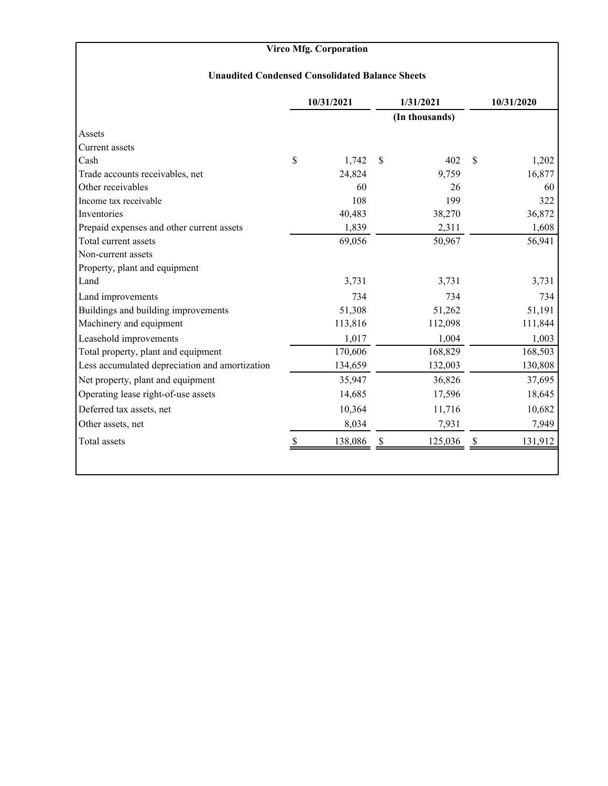| <b>Unaudited Condensed Consolidated Balance Sheets</b><br>10/31/2021 |                |                         |                                                                                                                                                   |  |
|----------------------------------------------------------------------|----------------|-------------------------|---------------------------------------------------------------------------------------------------------------------------------------------------|--|
|                                                                      |                |                         |                                                                                                                                                   |  |
|                                                                      | 1/31/2021      |                         | 10/31/2020                                                                                                                                        |  |
|                                                                      | (In thousands) |                         |                                                                                                                                                   |  |
|                                                                      |                |                         |                                                                                                                                                   |  |
|                                                                      |                |                         |                                                                                                                                                   |  |
| 1,742                                                                | $\mathsf{\$}$  | \$                      | 1,202                                                                                                                                             |  |
| 24,824                                                               |                |                         | 16,877                                                                                                                                            |  |
| 60                                                                   |                |                         | 60                                                                                                                                                |  |
| 108                                                                  |                |                         | 322                                                                                                                                               |  |
| 40,483                                                               |                |                         | 36,872                                                                                                                                            |  |
| 1,839                                                                |                |                         | 1,608                                                                                                                                             |  |
| 69,056                                                               |                |                         | 56,941                                                                                                                                            |  |
|                                                                      |                |                         |                                                                                                                                                   |  |
|                                                                      |                |                         |                                                                                                                                                   |  |
| 3,731                                                                |                |                         | 3,731                                                                                                                                             |  |
| 734                                                                  |                |                         | 734                                                                                                                                               |  |
| 51,308                                                               |                |                         | 51,191                                                                                                                                            |  |
| 113,816                                                              |                |                         | 111,844                                                                                                                                           |  |
| 1,017                                                                |                |                         | 1,003                                                                                                                                             |  |
| 170,606                                                              |                |                         | 168,503                                                                                                                                           |  |
| 134,659                                                              |                |                         | 130,808                                                                                                                                           |  |
| 35,947                                                               |                |                         | 37,695                                                                                                                                            |  |
| 14,685                                                               |                |                         | 18,645                                                                                                                                            |  |
| 10,364                                                               |                |                         | 10,682                                                                                                                                            |  |
| 8,034                                                                |                |                         | 7,949                                                                                                                                             |  |
| 138,086                                                              | \$             | \$                      | 131,912                                                                                                                                           |  |
|                                                                      | \$<br>S        | 2,311<br>3,731<br>7,931 | 402<br>9,759<br>26<br>199<br>38,270<br>50,967<br>734<br>51,262<br>112,098<br>1,004<br>168,829<br>132,003<br>36,826<br>17,596<br>11,716<br>125,036 |  |

l